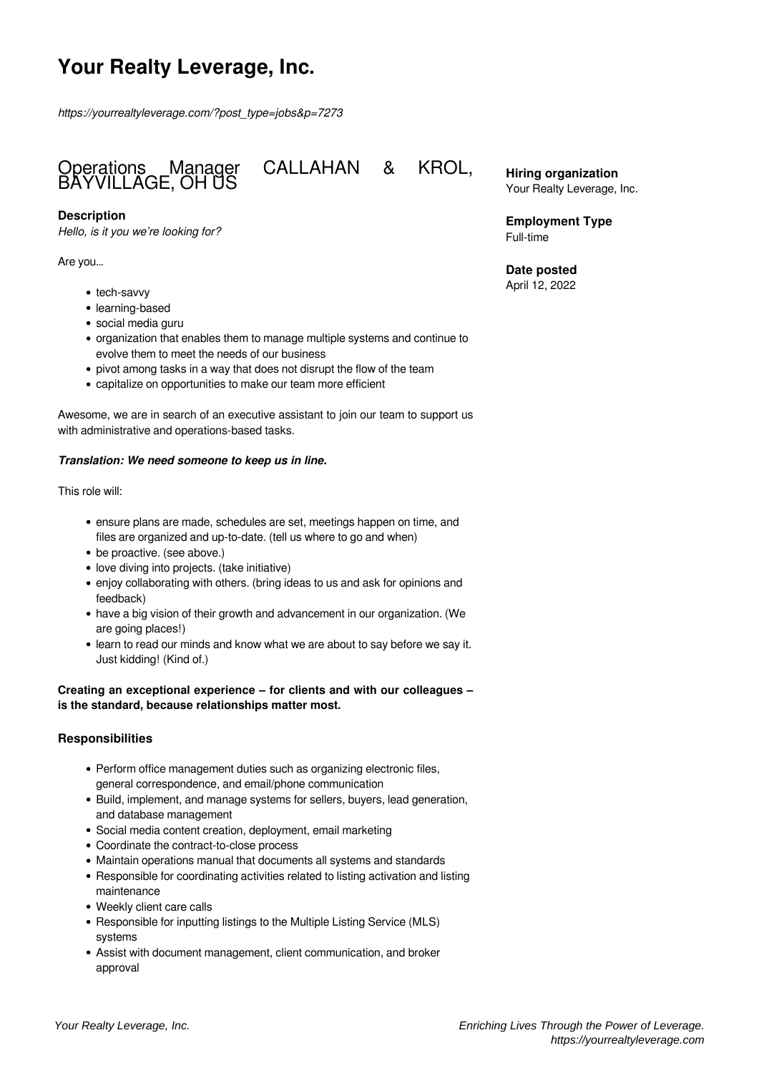# **Your Realty Leverage, Inc.**

*https://yourrealtyleverage.com/?post\_type=jobs&p=7273*



#### **Description**

*Hello, is it you we're looking for?*

Are you…

- tech-savvy
- learning-based
- social media guru
- organization that enables them to manage multiple systems and continue to evolve them to meet the needs of our business
- pivot among tasks in a way that does not disrupt the flow of the team
- capitalize on opportunities to make our team more efficient

Awesome, we are in search of an executive assistant to join our team to support us with administrative and operations-based tasks.

#### *Translation: We need someone to keep us in line.*

This role will:

- ensure plans are made, schedules are set, meetings happen on time, and files are organized and up-to-date. (tell us where to go and when)
- be proactive. (see above.)
- love diving into projects. (take initiative)
- enjoy collaborating with others. (bring ideas to us and ask for opinions and feedback)
- have a big vision of their growth and advancement in our organization. (We are going places!)
- learn to read our minds and know what we are about to say before we say it. Just kidding! (Kind of.)

#### **Creating an exceptional experience – for clients and with our colleagues – is the standard, because relationships matter most.**

#### **Responsibilities**

- Perform office management duties such as organizing electronic files, general correspondence, and email/phone communication
- Build, implement, and manage systems for sellers, buyers, lead generation, and database management
- Social media content creation, deployment, email marketing
- Coordinate the contract-to-close process
- Maintain operations manual that documents all systems and standards
- Responsible for coordinating activities related to listing activation and listing maintenance
- Weekly client care calls
- Responsible for inputting listings to the Multiple Listing Service (MLS) systems
- Assist with document management, client communication, and broker approval

**Hiring organization** Your Realty Leverage, Inc.

**Employment Type** Full-time

**Date posted** April 12, 2022